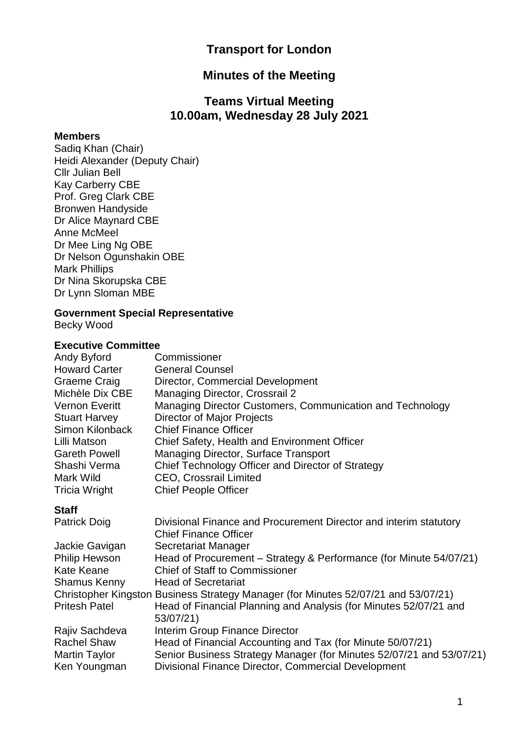# **Transport for London**

# **Minutes of the Meeting**

# **Teams Virtual Meeting 10.00am, Wednesday 28 July 2021**

#### **Members**

Sadiq Khan (Chair) Heidi Alexander (Deputy Chair) Cllr Julian Bell Kay Carberry CBE Prof. Greg Clark CBE Bronwen Handyside Dr Alice Maynard CBE Anne McMeel Dr Mee Ling Ng OBE Dr Nelson Ogunshakin OBE Mark Phillips Dr Nina Skorupska CBE Dr Lynn Sloman MBE

#### **Government Special Representative**

Becky Wood

#### **Executive Committee**

| Andy Byford           | Commissioner                                              |
|-----------------------|-----------------------------------------------------------|
| <b>Howard Carter</b>  | <b>General Counsel</b>                                    |
| Graeme Craig          | Director, Commercial Development                          |
| Michèle Dix CBE       | <b>Managing Director, Crossrail 2</b>                     |
| <b>Vernon Everitt</b> | Managing Director Customers, Communication and Technology |
| <b>Stuart Harvey</b>  | <b>Director of Major Projects</b>                         |
| Simon Kilonback       | <b>Chief Finance Officer</b>                              |
| Lilli Matson          | Chief Safety, Health and Environment Officer              |
| <b>Gareth Powell</b>  | Managing Director, Surface Transport                      |
| Shashi Verma          | Chief Technology Officer and Director of Strategy         |
| Mark Wild             | <b>CEO, Crossrail Limited</b>                             |
| <b>Tricia Wright</b>  | <b>Chief People Officer</b>                               |

#### **Staff**

| <b>Patrick Doig</b>  | Divisional Finance and Procurement Director and interim statutory                  |
|----------------------|------------------------------------------------------------------------------------|
|                      | <b>Chief Finance Officer</b>                                                       |
| Jackie Gavigan       | Secretariat Manager                                                                |
| <b>Philip Hewson</b> | Head of Procurement – Strategy & Performance (for Minute 54/07/21)                 |
| Kate Keane           | <b>Chief of Staff to Commissioner</b>                                              |
| <b>Shamus Kenny</b>  | <b>Head of Secretariat</b>                                                         |
|                      | Christopher Kingston Business Strategy Manager (for Minutes 52/07/21 and 53/07/21) |
| <b>Pritesh Patel</b> | Head of Financial Planning and Analysis (for Minutes 52/07/21 and                  |
|                      | 53/07/21)                                                                          |
| Rajiv Sachdeva       | Interim Group Finance Director                                                     |
| <b>Rachel Shaw</b>   | Head of Financial Accounting and Tax (for Minute 50/07/21)                         |
| <b>Martin Taylor</b> | Senior Business Strategy Manager (for Minutes 52/07/21 and 53/07/21)               |
| Ken Youngman         | Divisional Finance Director, Commercial Development                                |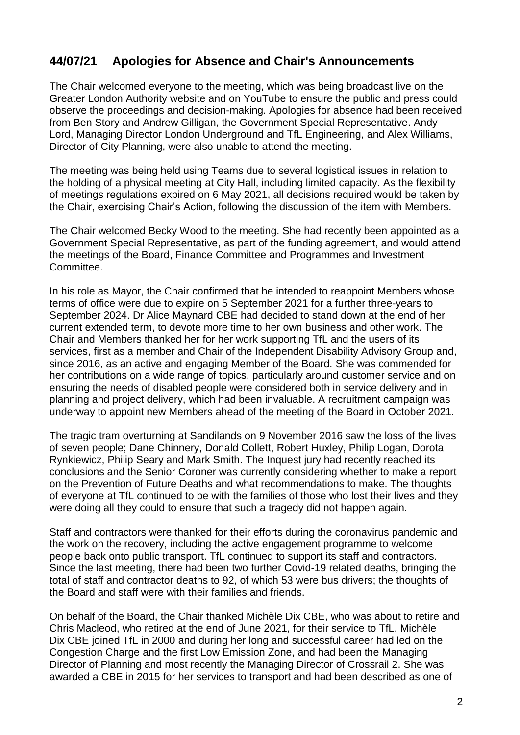# **44/07/21 Apologies for Absence and Chair's Announcements**

The Chair welcomed everyone to the meeting, which was being broadcast live on the Greater London Authority website and on YouTube to ensure the public and press could observe the proceedings and decision-making. Apologies for absence had been received from Ben Story and Andrew Gilligan, the Government Special Representative. Andy Lord, Managing Director London Underground and TfL Engineering, and Alex Williams, Director of City Planning, were also unable to attend the meeting.

The meeting was being held using Teams due to several logistical issues in relation to the holding of a physical meeting at City Hall, including limited capacity. As the flexibility of meetings regulations expired on 6 May 2021, all decisions required would be taken by the Chair, exercising Chair's Action, following the discussion of the item with Members.

The Chair welcomed Becky Wood to the meeting. She had recently been appointed as a Government Special Representative, as part of the funding agreement, and would attend the meetings of the Board, Finance Committee and Programmes and Investment Committee.

In his role as Mayor, the Chair confirmed that he intended to reappoint Members whose terms of office were due to expire on 5 September 2021 for a further three-years to September 2024. Dr Alice Maynard CBE had decided to stand down at the end of her current extended term, to devote more time to her own business and other work. The Chair and Members thanked her for her work supporting TfL and the users of its services, first as a member and Chair of the Independent Disability Advisory Group and, since 2016, as an active and engaging Member of the Board. She was commended for her contributions on a wide range of topics, particularly around customer service and on ensuring the needs of disabled people were considered both in service delivery and in planning and project delivery, which had been invaluable. A recruitment campaign was underway to appoint new Members ahead of the meeting of the Board in October 2021.

The tragic tram overturning at Sandilands on 9 November 2016 saw the loss of the lives of seven people; Dane Chinnery, Donald Collett, Robert Huxley, Philip Logan, Dorota Rynkiewicz, Philip Seary and Mark Smith. The Inquest jury had recently reached its conclusions and the Senior Coroner was currently considering whether to make a report on the Prevention of Future Deaths and what recommendations to make. The thoughts of everyone at TfL continued to be with the families of those who lost their lives and they were doing all they could to ensure that such a tragedy did not happen again.

Staff and contractors were thanked for their efforts during the coronavirus pandemic and the work on the recovery, including the active engagement programme to welcome people back onto public transport. TfL continued to support its staff and contractors. Since the last meeting, there had been two further Covid-19 related deaths, bringing the total of staff and contractor deaths to 92, of which 53 were bus drivers; the thoughts of the Board and staff were with their families and friends.

On behalf of the Board, the Chair thanked Michèle Dix CBE, who was about to retire and Chris Macleod, who retired at the end of June 2021, for their service to TfL. Michèle Dix CBE joined TfL in 2000 and during her long and successful career had led on the Congestion Charge and the first Low Emission Zone, and had been the Managing Director of Planning and most recently the Managing Director of Crossrail 2. She was awarded a CBE in 2015 for her services to transport and had been described as one of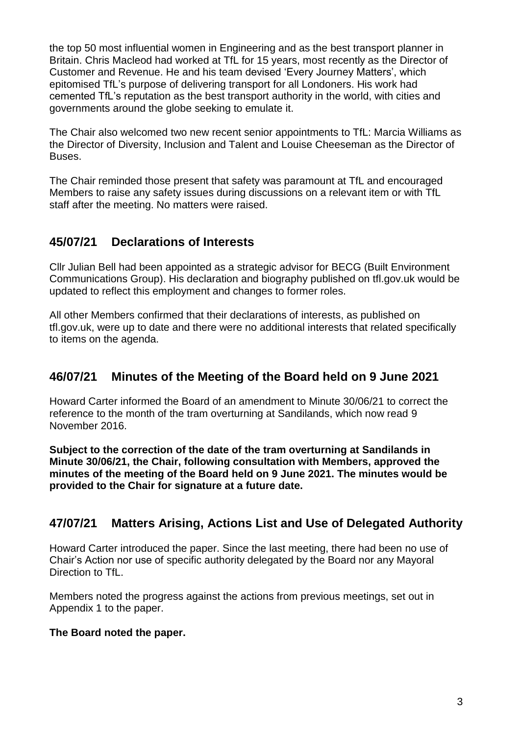the top 50 most influential women in Engineering and as the best transport planner in Britain. Chris Macleod had worked at TfL for 15 years, most recently as the Director of Customer and Revenue. He and his team devised 'Every Journey Matters', which epitomised TfL's purpose of delivering transport for all Londoners. His work had cemented TfL's reputation as the best transport authority in the world, with cities and governments around the globe seeking to emulate it.

The Chair also welcomed two new recent senior appointments to TfL: Marcia Williams as the Director of Diversity, Inclusion and Talent and Louise Cheeseman as the Director of Buses.

The Chair reminded those present that safety was paramount at TfL and encouraged Members to raise any safety issues during discussions on a relevant item or with TfL staff after the meeting. No matters were raised.

# **45/07/21 Declarations of Interests**

Cllr Julian Bell had been appointed as a strategic advisor for BECG (Built Environment Communications Group). His declaration and biography published on tfl.gov.uk would be updated to reflect this employment and changes to former roles.

All other Members confirmed that their declarations of interests, as published on tfl.gov.uk, were up to date and there were no additional interests that related specifically to items on the agenda.

# **46/07/21 Minutes of the Meeting of the Board held on 9 June 2021**

Howard Carter informed the Board of an amendment to Minute 30/06/21 to correct the reference to the month of the tram overturning at Sandilands, which now read 9 November 2016.

**Subject to the correction of the date of the tram overturning at Sandilands in Minute 30/06/21, the Chair, following consultation with Members, approved the minutes of the meeting of the Board held on 9 June 2021. The minutes would be provided to the Chair for signature at a future date.**

# **47/07/21 Matters Arising, Actions List and Use of Delegated Authority**

Howard Carter introduced the paper. Since the last meeting, there had been no use of Chair's Action nor use of specific authority delegated by the Board nor any Mayoral Direction to TfL.

Members noted the progress against the actions from previous meetings, set out in Appendix 1 to the paper.

### **The Board noted the paper.**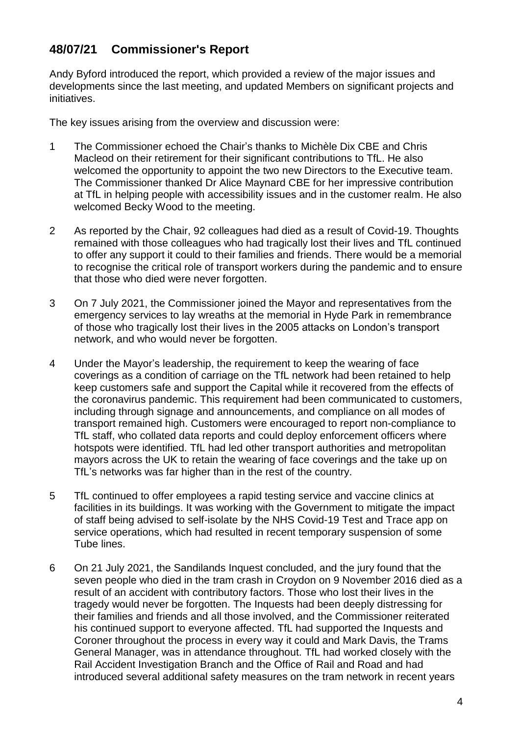# **48/07/21 Commissioner's Report**

Andy Byford introduced the report, which provided a review of the major issues and developments since the last meeting, and updated Members on significant projects and initiatives.

The key issues arising from the overview and discussion were:

- 1 The Commissioner echoed the Chair's thanks to Michèle Dix CBE and Chris Macleod on their retirement for their significant contributions to TfL. He also welcomed the opportunity to appoint the two new Directors to the Executive team. The Commissioner thanked Dr Alice Maynard CBE for her impressive contribution at TfL in helping people with accessibility issues and in the customer realm. He also welcomed Becky Wood to the meeting.
- 2 As reported by the Chair, 92 colleagues had died as a result of Covid-19. Thoughts remained with those colleagues who had tragically lost their lives and TfL continued to offer any support it could to their families and friends. There would be a memorial to recognise the critical role of transport workers during the pandemic and to ensure that those who died were never forgotten.
- 3 On 7 July 2021, the Commissioner joined the Mayor and representatives from the emergency services to lay wreaths at the memorial in Hyde Park in remembrance of those who tragically lost their lives in the 2005 attacks on London's transport network, and who would never be forgotten.
- 4 Under the Mayor's leadership, the requirement to keep the wearing of face coverings as a condition of carriage on the TfL network had been retained to help keep customers safe and support the Capital while it recovered from the effects of the coronavirus pandemic. This requirement had been communicated to customers, including through signage and announcements, and compliance on all modes of transport remained high. Customers were encouraged to report non-compliance to TfL staff, who collated data reports and could deploy enforcement officers where hotspots were identified. TfL had led other transport authorities and metropolitan mayors across the UK to retain the wearing of face coverings and the take up on TfL's networks was far higher than in the rest of the country.
- 5 TfL continued to offer employees a rapid testing service and vaccine clinics at facilities in its buildings. It was working with the Government to mitigate the impact of staff being advised to self-isolate by the NHS Covid-19 Test and Trace app on service operations, which had resulted in recent temporary suspension of some Tube lines.
- 6 On 21 July 2021, the Sandilands Inquest concluded, and the jury found that the seven people who died in the tram crash in Croydon on 9 November 2016 died as a result of an accident with contributory factors. Those who lost their lives in the tragedy would never be forgotten. The Inquests had been deeply distressing for their families and friends and all those involved, and the Commissioner reiterated his continued support to everyone affected. TfL had supported the Inquests and Coroner throughout the process in every way it could and Mark Davis, the Trams General Manager, was in attendance throughout. TfL had worked closely with the Rail Accident Investigation Branch and the Office of Rail and Road and had introduced several additional safety measures on the tram network in recent years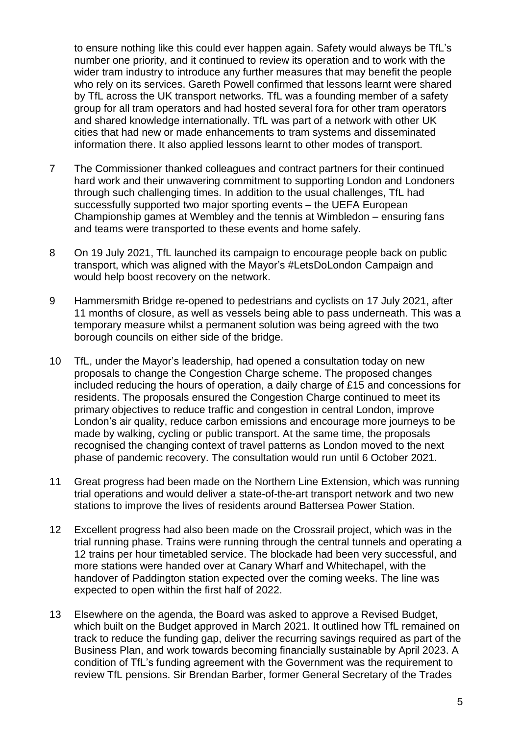to ensure nothing like this could ever happen again. Safety would always be TfL's number one priority, and it continued to review its operation and to work with the wider tram industry to introduce any further measures that may benefit the people who rely on its services. Gareth Powell confirmed that lessons learnt were shared by TfL across the UK transport networks. TfL was a founding member of a safety group for all tram operators and had hosted several fora for other tram operators and shared knowledge internationally. TfL was part of a network with other UK cities that had new or made enhancements to tram systems and disseminated information there. It also applied lessons learnt to other modes of transport.

- 7 The Commissioner thanked colleagues and contract partners for their continued hard work and their unwavering commitment to supporting London and Londoners through such challenging times. In addition to the usual challenges, TfL had successfully supported two major sporting events – the UEFA European Championship games at Wembley and the tennis at Wimbledon – ensuring fans and teams were transported to these events and home safely.
- 8 On 19 July 2021, TfL launched its campaign to encourage people back on public transport, which was aligned with the Mayor's #LetsDoLondon Campaign and would help boost recovery on the network.
- 9 Hammersmith Bridge re-opened to pedestrians and cyclists on 17 July 2021, after 11 months of closure, as well as vessels being able to pass underneath. This was a temporary measure whilst a permanent solution was being agreed with the two borough councils on either side of the bridge.
- 10 TfL, under the Mayor's leadership, had opened a consultation today on new proposals to change the Congestion Charge scheme. The proposed changes included reducing the hours of operation, a daily charge of £15 and concessions for residents. The proposals ensured the Congestion Charge continued to meet its primary objectives to reduce traffic and congestion in central London, improve London's air quality, reduce carbon emissions and encourage more journeys to be made by walking, cycling or public transport. At the same time, the proposals recognised the changing context of travel patterns as London moved to the next phase of pandemic recovery. The consultation would run until 6 October 2021.
- 11 Great progress had been made on the Northern Line Extension, which was running trial operations and would deliver a state-of-the-art transport network and two new stations to improve the lives of residents around Battersea Power Station.
- 12 Excellent progress had also been made on the Crossrail project, which was in the trial running phase. Trains were running through the central tunnels and operating a 12 trains per hour timetabled service. The blockade had been very successful, and more stations were handed over at Canary Wharf and Whitechapel, with the handover of Paddington station expected over the coming weeks. The line was expected to open within the first half of 2022.
- 13 Elsewhere on the agenda, the Board was asked to approve a Revised Budget, which built on the Budget approved in March 2021. It outlined how TfL remained on track to reduce the funding gap, deliver the recurring savings required as part of the Business Plan, and work towards becoming financially sustainable by April 2023. A condition of TfL's funding agreement with the Government was the requirement to review TfL pensions. Sir Brendan Barber, former General Secretary of the Trades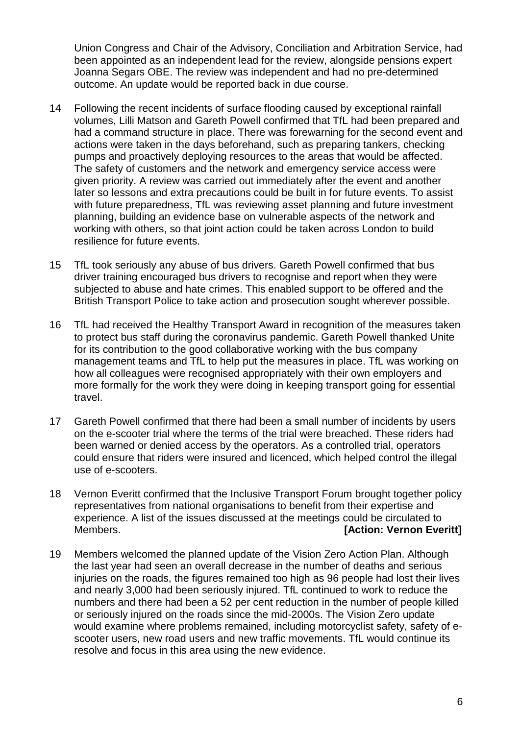Union Congress and Chair of the Advisory, Conciliation and Arbitration Service, had been appointed as an independent lead for the review, alongside pensions expert Joanna Segars OBE. The review was independent and had no pre-determined outcome. An update would be reported back in due course.

- 14 Following the recent incidents of surface flooding caused by exceptional rainfall volumes, Lilli Matson and Gareth Powell confirmed that TfL had been prepared and had a command structure in place. There was forewarning for the second event and actions were taken in the days beforehand, such as preparing tankers, checking pumps and proactively deploying resources to the areas that would be affected. The safety of customers and the network and emergency service access were given priority. A review was carried out immediately after the event and another later so lessons and extra precautions could be built in for future events. To assist with future preparedness, TfL was reviewing asset planning and future investment planning, building an evidence base on vulnerable aspects of the network and working with others, so that joint action could be taken across London to build resilience for future events.
- 15 TfL took seriously any abuse of bus drivers. Gareth Powell confirmed that bus driver training encouraged bus drivers to recognise and report when they were subjected to abuse and hate crimes. This enabled support to be offered and the British Transport Police to take action and prosecution sought wherever possible.
- 16 TfL had received the Healthy Transport Award in recognition of the measures taken to protect bus staff during the coronavirus pandemic. Gareth Powell thanked Unite for its contribution to the good collaborative working with the bus company management teams and TfL to help put the measures in place. TfL was working on how all colleagues were recognised appropriately with their own employers and more formally for the work they were doing in keeping transport going for essential travel.
- 17 Gareth Powell confirmed that there had been a small number of incidents by users on the e-scooter trial where the terms of the trial were breached. These riders had been warned or denied access by the operators. As a controlled trial, operators could ensure that riders were insured and licenced, which helped control the illegal use of e-scooters.
- 18 Vernon Everitt confirmed that the Inclusive Transport Forum brought together policy representatives from national organisations to benefit from their expertise and experience. A list of the issues discussed at the meetings could be circulated to Members. **[Action: Vernon Everitt]**
- 19 Members welcomed the planned update of the Vision Zero Action Plan. Although the last year had seen an overall decrease in the number of deaths and serious injuries on the roads, the figures remained too high as 96 people had lost their lives and nearly 3,000 had been seriously injured. TfL continued to work to reduce the numbers and there had been a 52 per cent reduction in the number of people killed or seriously injured on the roads since the mid-2000s. The Vision Zero update would examine where problems remained, including motorcyclist safety, safety of escooter users, new road users and new traffic movements. TfL would continue its resolve and focus in this area using the new evidence.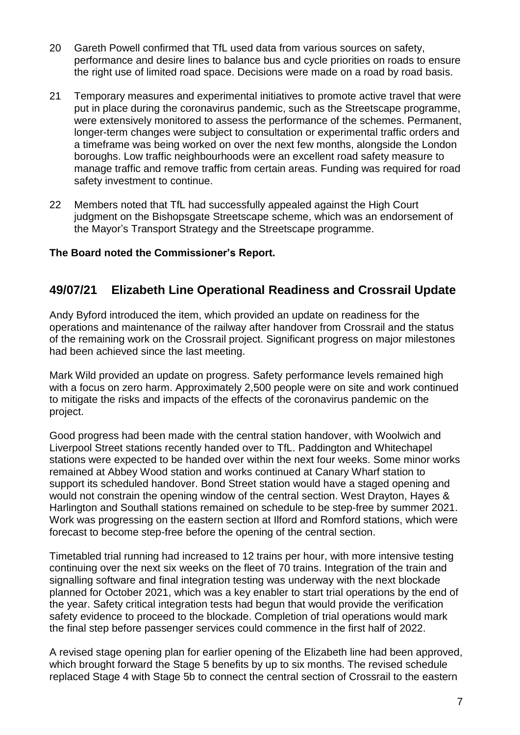- 20 Gareth Powell confirmed that TfL used data from various sources on safety, performance and desire lines to balance bus and cycle priorities on roads to ensure the right use of limited road space. Decisions were made on a road by road basis.
- 21 Temporary measures and experimental initiatives to promote active travel that were put in place during the coronavirus pandemic, such as the Streetscape programme, were extensively monitored to assess the performance of the schemes. Permanent, longer-term changes were subject to consultation or experimental traffic orders and a timeframe was being worked on over the next few months, alongside the London boroughs. Low traffic neighbourhoods were an excellent road safety measure to manage traffic and remove traffic from certain areas. Funding was required for road safety investment to continue.
- 22 Members noted that TfL had successfully appealed against the High Court judgment on the Bishopsgate Streetscape scheme, which was an endorsement of the Mayor's Transport Strategy and the Streetscape programme.

#### **The Board noted the Commissioner's Report.**

### **49/07/21 Elizabeth Line Operational Readiness and Crossrail Update**

Andy Byford introduced the item, which provided an update on readiness for the operations and maintenance of the railway after handover from Crossrail and the status of the remaining work on the Crossrail project. Significant progress on major milestones had been achieved since the last meeting.

Mark Wild provided an update on progress. Safety performance levels remained high with a focus on zero harm. Approximately 2,500 people were on site and work continued to mitigate the risks and impacts of the effects of the coronavirus pandemic on the project.

Good progress had been made with the central station handover, with Woolwich and Liverpool Street stations recently handed over to TfL. Paddington and Whitechapel stations were expected to be handed over within the next four weeks. Some minor works remained at Abbey Wood station and works continued at Canary Wharf station to support its scheduled handover. Bond Street station would have a staged opening and would not constrain the opening window of the central section. West Drayton, Hayes & Harlington and Southall stations remained on schedule to be step-free by summer 2021. Work was progressing on the eastern section at Ilford and Romford stations, which were forecast to become step-free before the opening of the central section.

Timetabled trial running had increased to 12 trains per hour, with more intensive testing continuing over the next six weeks on the fleet of 70 trains. Integration of the train and signalling software and final integration testing was underway with the next blockade planned for October 2021, which was a key enabler to start trial operations by the end of the year. Safety critical integration tests had begun that would provide the verification safety evidence to proceed to the blockade. Completion of trial operations would mark the final step before passenger services could commence in the first half of 2022.

A revised stage opening plan for earlier opening of the Elizabeth line had been approved, which brought forward the Stage 5 benefits by up to six months. The revised schedule replaced Stage 4 with Stage 5b to connect the central section of Crossrail to the eastern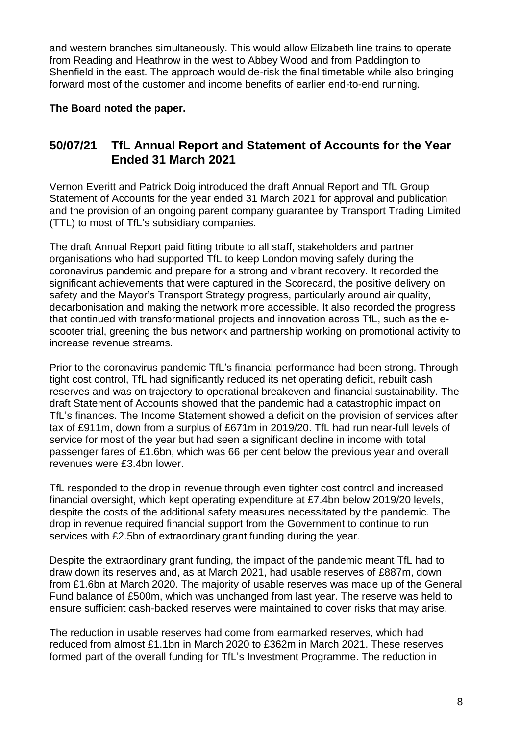and western branches simultaneously. This would allow Elizabeth line trains to operate from Reading and Heathrow in the west to Abbey Wood and from Paddington to Shenfield in the east. The approach would de-risk the final timetable while also bringing forward most of the customer and income benefits of earlier end-to-end running.

#### **The Board noted the paper.**

### **50/07/21 TfL Annual Report and Statement of Accounts for the Year Ended 31 March 2021**

Vernon Everitt and Patrick Doig introduced the draft Annual Report and TfL Group Statement of Accounts for the year ended 31 March 2021 for approval and publication and the provision of an ongoing parent company guarantee by Transport Trading Limited (TTL) to most of TfL's subsidiary companies.

The draft Annual Report paid fitting tribute to all staff, stakeholders and partner organisations who had supported TfL to keep London moving safely during the coronavirus pandemic and prepare for a strong and vibrant recovery. It recorded the significant achievements that were captured in the Scorecard, the positive delivery on safety and the Mayor's Transport Strategy progress, particularly around air quality, decarbonisation and making the network more accessible. It also recorded the progress that continued with transformational projects and innovation across TfL, such as the escooter trial, greening the bus network and partnership working on promotional activity to increase revenue streams.

Prior to the coronavirus pandemic TfL's financial performance had been strong. Through tight cost control. TfL had significantly reduced its net operating deficit, rebuilt cash reserves and was on trajectory to operational breakeven and financial sustainability. The draft Statement of Accounts showed that the pandemic had a catastrophic impact on TfL's finances. The Income Statement showed a deficit on the provision of services after tax of £911m, down from a surplus of £671m in 2019/20. TfL had run near-full levels of service for most of the year but had seen a significant decline in income with total passenger fares of £1.6bn, which was 66 per cent below the previous year and overall revenues were £3.4bn lower.

TfL responded to the drop in revenue through even tighter cost control and increased financial oversight, which kept operating expenditure at £7.4bn below 2019/20 levels, despite the costs of the additional safety measures necessitated by the pandemic. The drop in revenue required financial support from the Government to continue to run services with £2.5bn of extraordinary grant funding during the year.

Despite the extraordinary grant funding, the impact of the pandemic meant TfL had to draw down its reserves and, as at March 2021, had usable reserves of £887m, down from £1.6bn at March 2020. The majority of usable reserves was made up of the General Fund balance of £500m, which was unchanged from last year. The reserve was held to ensure sufficient cash-backed reserves were maintained to cover risks that may arise.

The reduction in usable reserves had come from earmarked reserves, which had reduced from almost £1.1bn in March 2020 to £362m in March 2021. These reserves formed part of the overall funding for TfL's Investment Programme. The reduction in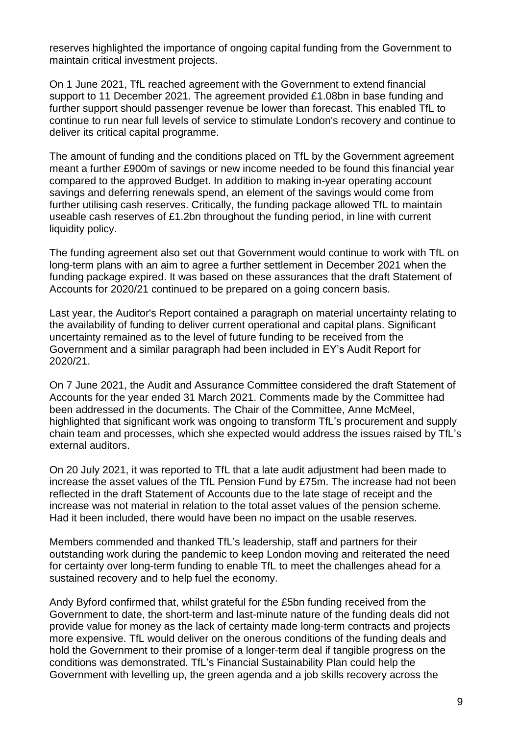reserves highlighted the importance of ongoing capital funding from the Government to maintain critical investment projects.

On 1 June 2021, TfL reached agreement with the Government to extend financial support to 11 December 2021. The agreement provided £1.08bn in base funding and further support should passenger revenue be lower than forecast. This enabled TfL to continue to run near full levels of service to stimulate London's recovery and continue to deliver its critical capital programme.

The amount of funding and the conditions placed on TfL by the Government agreement meant a further £900m of savings or new income needed to be found this financial year compared to the approved Budget. In addition to making in-year operating account savings and deferring renewals spend, an element of the savings would come from further utilising cash reserves. Critically, the funding package allowed TfL to maintain useable cash reserves of £1.2bn throughout the funding period, in line with current liquidity policy.

The funding agreement also set out that Government would continue to work with TfL on long-term plans with an aim to agree a further settlement in December 2021 when the funding package expired. It was based on these assurances that the draft Statement of Accounts for 2020/21 continued to be prepared on a going concern basis.

Last year, the Auditor's Report contained a paragraph on material uncertainty relating to the availability of funding to deliver current operational and capital plans. Significant uncertainty remained as to the level of future funding to be received from the Government and a similar paragraph had been included in EY's Audit Report for 2020/21.

On 7 June 2021, the Audit and Assurance Committee considered the draft Statement of Accounts for the year ended 31 March 2021. Comments made by the Committee had been addressed in the documents. The Chair of the Committee, Anne McMeel, highlighted that significant work was ongoing to transform TfL's procurement and supply chain team and processes, which she expected would address the issues raised by TfL's external auditors.

On 20 July 2021, it was reported to TfL that a late audit adjustment had been made to increase the asset values of the TfL Pension Fund by £75m. The increase had not been reflected in the draft Statement of Accounts due to the late stage of receipt and the increase was not material in relation to the total asset values of the pension scheme. Had it been included, there would have been no impact on the usable reserves.

Members commended and thanked TfL's leadership, staff and partners for their outstanding work during the pandemic to keep London moving and reiterated the need for certainty over long-term funding to enable TfL to meet the challenges ahead for a sustained recovery and to help fuel the economy.

Andy Byford confirmed that, whilst grateful for the £5bn funding received from the Government to date, the short-term and last-minute nature of the funding deals did not provide value for money as the lack of certainty made long-term contracts and projects more expensive. TfL would deliver on the onerous conditions of the funding deals and hold the Government to their promise of a longer-term deal if tangible progress on the conditions was demonstrated. TfL's Financial Sustainability Plan could help the Government with levelling up, the green agenda and a job skills recovery across the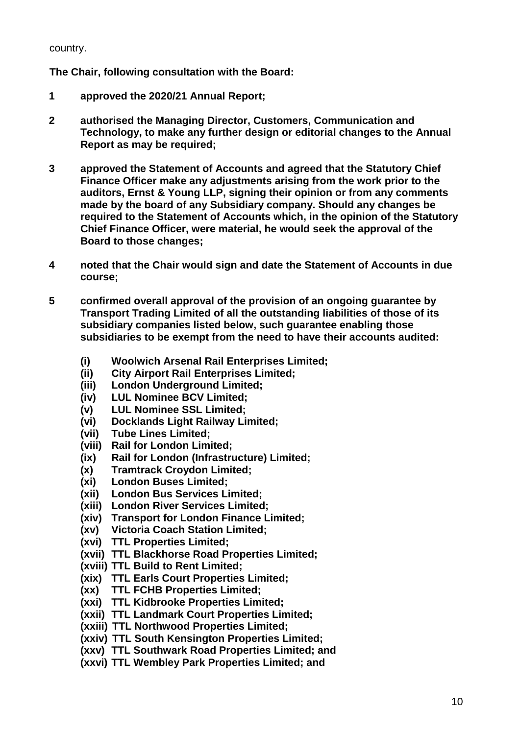country.

**The Chair, following consultation with the Board:**

- **1 approved the 2020/21 Annual Report;**
- **2 authorised the Managing Director, Customers, Communication and Technology, to make any further design or editorial changes to the Annual Report as may be required;**
- **3 approved the Statement of Accounts and agreed that the Statutory Chief Finance Officer make any adjustments arising from the work prior to the auditors, Ernst & Young LLP, signing their opinion or from any comments made by the board of any Subsidiary company. Should any changes be required to the Statement of Accounts which, in the opinion of the Statutory Chief Finance Officer, were material, he would seek the approval of the Board to those changes;**
- **4 noted that the Chair would sign and date the Statement of Accounts in due course;**
- **5 confirmed overall approval of the provision of an ongoing guarantee by Transport Trading Limited of all the outstanding liabilities of those of its subsidiary companies listed below, such guarantee enabling those subsidiaries to be exempt from the need to have their accounts audited:**
	- **(i) Woolwich Arsenal Rail Enterprises Limited;**
	- **(ii) City Airport Rail Enterprises Limited;**
	- **(iii) London Underground Limited;**
	- **(iv) LUL Nominee BCV Limited;**
	- **(v) LUL Nominee SSL Limited;**
	- **(vi) Docklands Light Railway Limited;**
	- **(vii) Tube Lines Limited;**
	- **(viii) Rail for London Limited;**
	- **(ix) Rail for London (Infrastructure) Limited;**
	- **(x) Tramtrack Croydon Limited;**
	- **(xi) London Buses Limited;**
	- **(xii) London Bus Services Limited;**
	- **(xiii) London River Services Limited;**
	- **(xiv) Transport for London Finance Limited;**
	- **(xv) Victoria Coach Station Limited;**
	- **(xvi) TTL Properties Limited;**
	- **(xvii) TTL Blackhorse Road Properties Limited;**
	- **(xviii) TTL Build to Rent Limited;**
	- **(xix) TTL Earls Court Properties Limited;**
	- **(xx) TTL FCHB Properties Limited;**
	- **(xxi) TTL Kidbrooke Properties Limited;**
	- **(xxii) TTL Landmark Court Properties Limited;**
	- **(xxiii) TTL Northwood Properties Limited;**
	- **(xxiv) TTL South Kensington Properties Limited;**
	- **(xxv) TTL Southwark Road Properties Limited; and**
	- **(xxvi) TTL Wembley Park Properties Limited; and**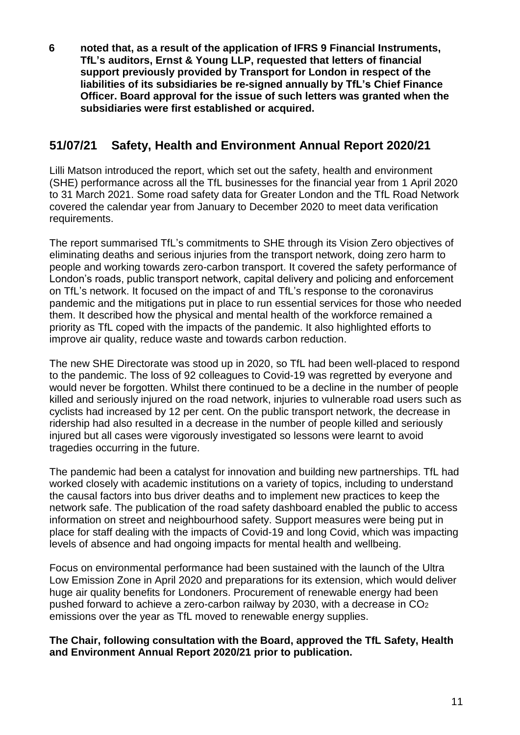**6 noted that, as a result of the application of IFRS 9 Financial Instruments, TfL's auditors, Ernst & Young LLP, requested that letters of financial support previously provided by Transport for London in respect of the liabilities of its subsidiaries be re-signed annually by TfL's Chief Finance Officer. Board approval for the issue of such letters was granted when the subsidiaries were first established or acquired.**

# **51/07/21 Safety, Health and Environment Annual Report 2020/21**

Lilli Matson introduced the report, which set out the safety, health and environment (SHE) performance across all the TfL businesses for the financial year from 1 April 2020 to 31 March 2021. Some road safety data for Greater London and the TfL Road Network covered the calendar year from January to December 2020 to meet data verification requirements.

The report summarised TfL's commitments to SHE through its Vision Zero objectives of eliminating deaths and serious injuries from the transport network, doing zero harm to people and working towards zero-carbon transport. It covered the safety performance of London's roads, public transport network, capital delivery and policing and enforcement on TfL's network. It focused on the impact of and TfL's response to the coronavirus pandemic and the mitigations put in place to run essential services for those who needed them. It described how the physical and mental health of the workforce remained a priority as TfL coped with the impacts of the pandemic. It also highlighted efforts to improve air quality, reduce waste and towards carbon reduction.

The new SHE Directorate was stood up in 2020, so TfL had been well-placed to respond to the pandemic. The loss of 92 colleagues to Covid-19 was regretted by everyone and would never be forgotten. Whilst there continued to be a decline in the number of people killed and seriously injured on the road network, injuries to vulnerable road users such as cyclists had increased by 12 per cent. On the public transport network, the decrease in ridership had also resulted in a decrease in the number of people killed and seriously injured but all cases were vigorously investigated so lessons were learnt to avoid tragedies occurring in the future.

The pandemic had been a catalyst for innovation and building new partnerships. TfL had worked closely with academic institutions on a variety of topics, including to understand the causal factors into bus driver deaths and to implement new practices to keep the network safe. The publication of the road safety dashboard enabled the public to access information on street and neighbourhood safety. Support measures were being put in place for staff dealing with the impacts of Covid-19 and long Covid, which was impacting levels of absence and had ongoing impacts for mental health and wellbeing.

Focus on environmental performance had been sustained with the launch of the Ultra Low Emission Zone in April 2020 and preparations for its extension, which would deliver huge air quality benefits for Londoners. Procurement of renewable energy had been pushed forward to achieve a zero-carbon railway by 2030, with a decrease in CO<sup>2</sup> emissions over the year as TfL moved to renewable energy supplies.

#### **The Chair, following consultation with the Board, approved the TfL Safety, Health and Environment Annual Report 2020/21 prior to publication.**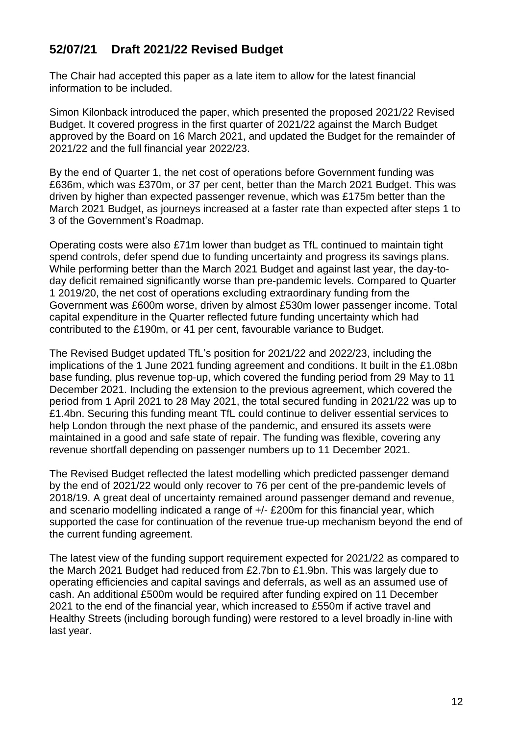# **52/07/21 Draft 2021/22 Revised Budget**

The Chair had accepted this paper as a late item to allow for the latest financial information to be included.

Simon Kilonback introduced the paper, which presented the proposed 2021/22 Revised Budget. It covered progress in the first quarter of 2021/22 against the March Budget approved by the Board on 16 March 2021, and updated the Budget for the remainder of 2021/22 and the full financial year 2022/23.

By the end of Quarter 1, the net cost of operations before Government funding was £636m, which was £370m, or 37 per cent, better than the March 2021 Budget. This was driven by higher than expected passenger revenue, which was £175m better than the March 2021 Budget, as journeys increased at a faster rate than expected after steps 1 to 3 of the Government's Roadmap.

Operating costs were also £71m lower than budget as TfL continued to maintain tight spend controls, defer spend due to funding uncertainty and progress its savings plans. While performing better than the March 2021 Budget and against last year, the day-today deficit remained significantly worse than pre-pandemic levels. Compared to Quarter 1 2019/20, the net cost of operations excluding extraordinary funding from the Government was £600m worse, driven by almost £530m lower passenger income. Total capital expenditure in the Quarter reflected future funding uncertainty which had contributed to the £190m, or 41 per cent, favourable variance to Budget.

The Revised Budget updated TfL's position for 2021/22 and 2022/23, including the implications of the 1 June 2021 funding agreement and conditions. It built in the £1.08bn base funding, plus revenue top-up, which covered the funding period from 29 May to 11 December 2021. Including the extension to the previous agreement, which covered the period from 1 April 2021 to 28 May 2021, the total secured funding in 2021/22 was up to £1.4bn. Securing this funding meant TfL could continue to deliver essential services to help London through the next phase of the pandemic, and ensured its assets were maintained in a good and safe state of repair. The funding was flexible, covering any revenue shortfall depending on passenger numbers up to 11 December 2021.

The Revised Budget reflected the latest modelling which predicted passenger demand by the end of 2021/22 would only recover to 76 per cent of the pre-pandemic levels of 2018/19. A great deal of uncertainty remained around passenger demand and revenue, and scenario modelling indicated a range of +/- £200m for this financial year, which supported the case for continuation of the revenue true-up mechanism beyond the end of the current funding agreement.

The latest view of the funding support requirement expected for 2021/22 as compared to the March 2021 Budget had reduced from £2.7bn to £1.9bn. This was largely due to operating efficiencies and capital savings and deferrals, as well as an assumed use of cash. An additional £500m would be required after funding expired on 11 December 2021 to the end of the financial year, which increased to £550m if active travel and Healthy Streets (including borough funding) were restored to a level broadly in-line with last year.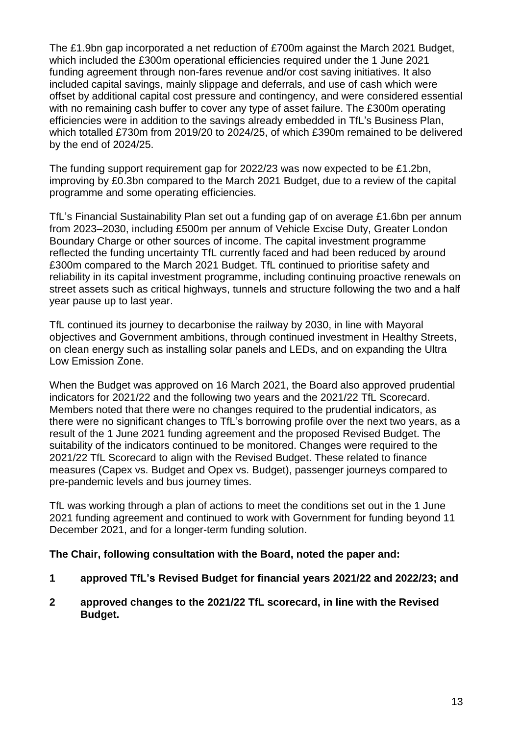The £1.9bn gap incorporated a net reduction of £700m against the March 2021 Budget, which included the £300m operational efficiencies required under the 1 June 2021 funding agreement through non-fares revenue and/or cost saving initiatives. It also included capital savings, mainly slippage and deferrals, and use of cash which were offset by additional capital cost pressure and contingency, and were considered essential with no remaining cash buffer to cover any type of asset failure. The £300m operating efficiencies were in addition to the savings already embedded in TfL's Business Plan, which totalled £730m from 2019/20 to 2024/25, of which £390m remained to be delivered by the end of 2024/25.

The funding support requirement gap for 2022/23 was now expected to be £1.2bn, improving by £0.3bn compared to the March 2021 Budget, due to a review of the capital programme and some operating efficiencies.

TfL's Financial Sustainability Plan set out a funding gap of on average £1.6bn per annum from 2023–2030, including £500m per annum of Vehicle Excise Duty, Greater London Boundary Charge or other sources of income. The capital investment programme reflected the funding uncertainty TfL currently faced and had been reduced by around £300m compared to the March 2021 Budget. TfL continued to prioritise safety and reliability in its capital investment programme, including continuing proactive renewals on street assets such as critical highways, tunnels and structure following the two and a half year pause up to last year.

TfL continued its journey to decarbonise the railway by 2030, in line with Mayoral objectives and Government ambitions, through continued investment in Healthy Streets, on clean energy such as installing solar panels and LEDs, and on expanding the Ultra Low Emission Zone.

When the Budget was approved on 16 March 2021, the Board also approved prudential indicators for 2021/22 and the following two years and the 2021/22 TfL Scorecard. Members noted that there were no changes required to the prudential indicators, as there were no significant changes to TfL's borrowing profile over the next two years, as a result of the 1 June 2021 funding agreement and the proposed Revised Budget. The suitability of the indicators continued to be monitored. Changes were required to the 2021/22 TfL Scorecard to align with the Revised Budget. These related to finance measures (Capex vs. Budget and Opex vs. Budget), passenger journeys compared to pre-pandemic levels and bus journey times.

TfL was working through a plan of actions to meet the conditions set out in the 1 June 2021 funding agreement and continued to work with Government for funding beyond 11 December 2021, and for a longer-term funding solution.

### **The Chair, following consultation with the Board, noted the paper and:**

- **1 approved TfL's Revised Budget for financial years 2021/22 and 2022/23; and**
- **2 approved changes to the 2021/22 TfL scorecard, in line with the Revised Budget.**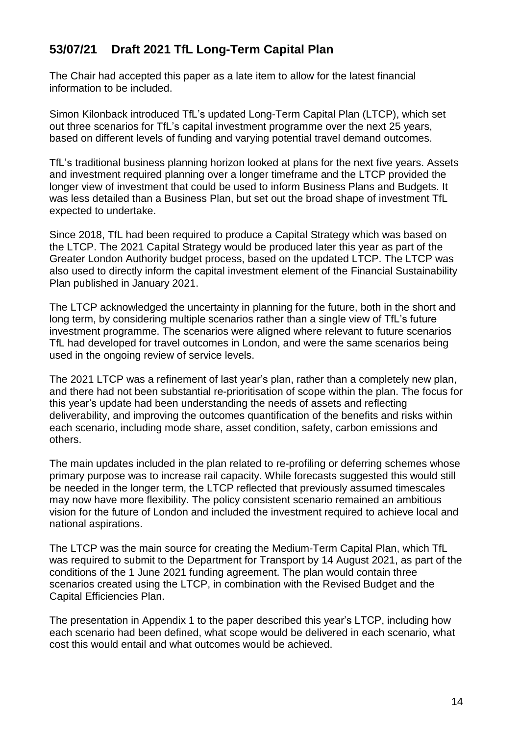# **53/07/21 Draft 2021 TfL Long-Term Capital Plan**

The Chair had accepted this paper as a late item to allow for the latest financial information to be included.

Simon Kilonback introduced TfL's updated Long-Term Capital Plan (LTCP), which set out three scenarios for TfL's capital investment programme over the next 25 years, based on different levels of funding and varying potential travel demand outcomes.

TfL's traditional business planning horizon looked at plans for the next five years. Assets and investment required planning over a longer timeframe and the LTCP provided the longer view of investment that could be used to inform Business Plans and Budgets. It was less detailed than a Business Plan, but set out the broad shape of investment TfL expected to undertake.

Since 2018, TfL had been required to produce a Capital Strategy which was based on the LTCP. The 2021 Capital Strategy would be produced later this year as part of the Greater London Authority budget process, based on the updated LTCP. The LTCP was also used to directly inform the capital investment element of the Financial Sustainability Plan published in January 2021.

The LTCP acknowledged the uncertainty in planning for the future, both in the short and long term, by considering multiple scenarios rather than a single view of TfL's future investment programme. The scenarios were aligned where relevant to future scenarios TfL had developed for travel outcomes in London, and were the same scenarios being used in the ongoing review of service levels.

The 2021 LTCP was a refinement of last year's plan, rather than a completely new plan, and there had not been substantial re-prioritisation of scope within the plan. The focus for this year's update had been understanding the needs of assets and reflecting deliverability, and improving the outcomes quantification of the benefits and risks within each scenario, including mode share, asset condition, safety, carbon emissions and others.

The main updates included in the plan related to re-profiling or deferring schemes whose primary purpose was to increase rail capacity. While forecasts suggested this would still be needed in the longer term, the LTCP reflected that previously assumed timescales may now have more flexibility. The policy consistent scenario remained an ambitious vision for the future of London and included the investment required to achieve local and national aspirations.

The LTCP was the main source for creating the Medium-Term Capital Plan, which TfL was required to submit to the Department for Transport by 14 August 2021, as part of the conditions of the 1 June 2021 funding agreement. The plan would contain three scenarios created using the LTCP, in combination with the Revised Budget and the Capital Efficiencies Plan.

The presentation in Appendix 1 to the paper described this year's LTCP, including how each scenario had been defined, what scope would be delivered in each scenario, what cost this would entail and what outcomes would be achieved.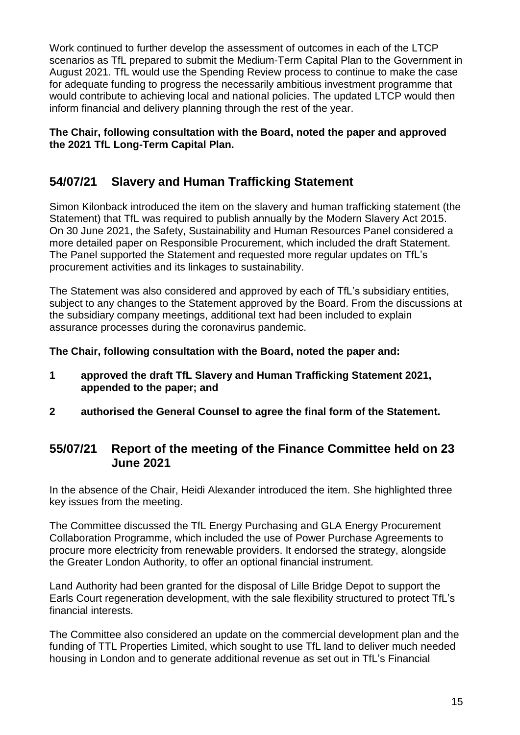Work continued to further develop the assessment of outcomes in each of the LTCP scenarios as TfL prepared to submit the Medium-Term Capital Plan to the Government in August 2021. TfL would use the Spending Review process to continue to make the case for adequate funding to progress the necessarily ambitious investment programme that would contribute to achieving local and national policies. The updated LTCP would then inform financial and delivery planning through the rest of the year.

### **The Chair, following consultation with the Board, noted the paper and approved the 2021 TfL Long-Term Capital Plan.**

# **54/07/21 Slavery and Human Trafficking Statement**

Simon Kilonback introduced the item on the slavery and human trafficking statement (the Statement) that TfL was required to publish annually by the Modern Slavery Act 2015. On 30 June 2021, the Safety, Sustainability and Human Resources Panel considered a more detailed paper on Responsible Procurement, which included the draft Statement. The Panel supported the Statement and requested more regular updates on TfL's procurement activities and its linkages to sustainability.

The Statement was also considered and approved by each of TfL's subsidiary entities, subject to any changes to the Statement approved by the Board. From the discussions at the subsidiary company meetings, additional text had been included to explain assurance processes during the coronavirus pandemic.

**The Chair, following consultation with the Board, noted the paper and:**

- **1 approved the draft TfL Slavery and Human Trafficking Statement 2021, appended to the paper; and**
- **2 authorised the General Counsel to agree the final form of the Statement.**

# **55/07/21 Report of the meeting of the Finance Committee held on 23 June 2021**

In the absence of the Chair, Heidi Alexander introduced the item. She highlighted three key issues from the meeting.

The Committee discussed the TfL Energy Purchasing and GLA Energy Procurement Collaboration Programme, which included the use of Power Purchase Agreements to procure more electricity from renewable providers. It endorsed the strategy, alongside the Greater London Authority, to offer an optional financial instrument.

Land Authority had been granted for the disposal of Lille Bridge Depot to support the Earls Court regeneration development, with the sale flexibility structured to protect TfL's financial interests.

The Committee also considered an update on the commercial development plan and the funding of TTL Properties Limited, which sought to use TfL land to deliver much needed housing in London and to generate additional revenue as set out in TfL's Financial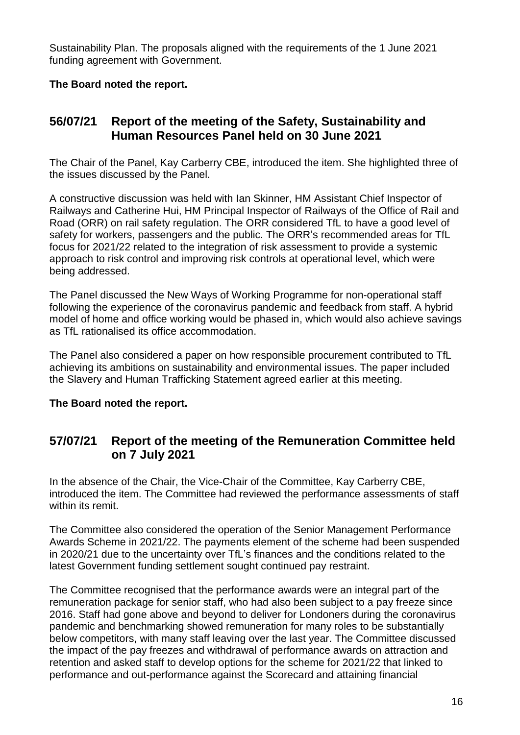Sustainability Plan. The proposals aligned with the requirements of the 1 June 2021 funding agreement with Government.

### **The Board noted the report.**

# **56/07/21 Report of the meeting of the Safety, Sustainability and Human Resources Panel held on 30 June 2021**

The Chair of the Panel, Kay Carberry CBE, introduced the item. She highlighted three of the issues discussed by the Panel.

A constructive discussion was held with Ian Skinner, HM Assistant Chief Inspector of Railways and Catherine Hui, HM Principal Inspector of Railways of the Office of Rail and Road (ORR) on rail safety regulation. The ORR considered TfL to have a good level of safety for workers, passengers and the public. The ORR's recommended areas for TfL focus for 2021/22 related to the integration of risk assessment to provide a systemic approach to risk control and improving risk controls at operational level, which were being addressed.

The Panel discussed the New Ways of Working Programme for non-operational staff following the experience of the coronavirus pandemic and feedback from staff. A hybrid model of home and office working would be phased in, which would also achieve savings as TfL rationalised its office accommodation.

The Panel also considered a paper on how responsible procurement contributed to TfL achieving its ambitions on sustainability and environmental issues. The paper included the Slavery and Human Trafficking Statement agreed earlier at this meeting.

### **The Board noted the report.**

### **57/07/21 Report of the meeting of the Remuneration Committee held on 7 July 2021**

In the absence of the Chair, the Vice-Chair of the Committee, Kay Carberry CBE, introduced the item. The Committee had reviewed the performance assessments of staff within its remit

The Committee also considered the operation of the Senior Management Performance Awards Scheme in 2021/22. The payments element of the scheme had been suspended in 2020/21 due to the uncertainty over TfL's finances and the conditions related to the latest Government funding settlement sought continued pay restraint.

The Committee recognised that the performance awards were an integral part of the remuneration package for senior staff, who had also been subject to a pay freeze since 2016. Staff had gone above and beyond to deliver for Londoners during the coronavirus pandemic and benchmarking showed remuneration for many roles to be substantially below competitors, with many staff leaving over the last year. The Committee discussed the impact of the pay freezes and withdrawal of performance awards on attraction and retention and asked staff to develop options for the scheme for 2021/22 that linked to performance and out-performance against the Scorecard and attaining financial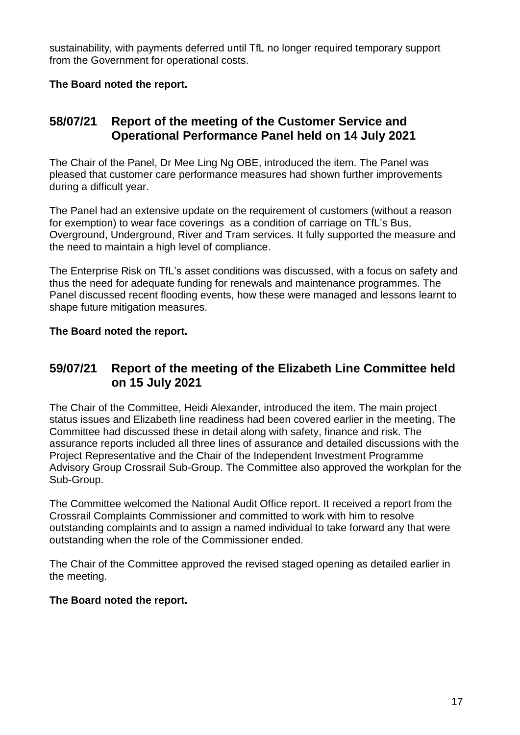sustainability, with payments deferred until TfL no longer required temporary support from the Government for operational costs.

### **The Board noted the report.**

# **58/07/21 Report of the meeting of the Customer Service and Operational Performance Panel held on 14 July 2021**

The Chair of the Panel, Dr Mee Ling Ng OBE, introduced the item. The Panel was pleased that customer care performance measures had shown further improvements during a difficult year.

The Panel had an extensive update on the requirement of customers (without a reason for exemption) to wear face coverings as a condition of carriage on TfL's Bus, Overground, Underground, River and Tram services. It fully supported the measure and the need to maintain a high level of compliance.

The Enterprise Risk on TfL's asset conditions was discussed, with a focus on safety and thus the need for adequate funding for renewals and maintenance programmes. The Panel discussed recent flooding events, how these were managed and lessons learnt to shape future mitigation measures.

### **The Board noted the report.**

### **59/07/21 Report of the meeting of the Elizabeth Line Committee held on 15 July 2021**

The Chair of the Committee, Heidi Alexander, introduced the item. The main project status issues and Elizabeth line readiness had been covered earlier in the meeting. The Committee had discussed these in detail along with safety, finance and risk. The assurance reports included all three lines of assurance and detailed discussions with the Project Representative and the Chair of the Independent Investment Programme Advisory Group Crossrail Sub-Group. The Committee also approved the workplan for the Sub-Group.

The Committee welcomed the National Audit Office report. It received a report from the Crossrail Complaints Commissioner and committed to work with him to resolve outstanding complaints and to assign a named individual to take forward any that were outstanding when the role of the Commissioner ended.

The Chair of the Committee approved the revised staged opening as detailed earlier in the meeting.

#### **The Board noted the report.**